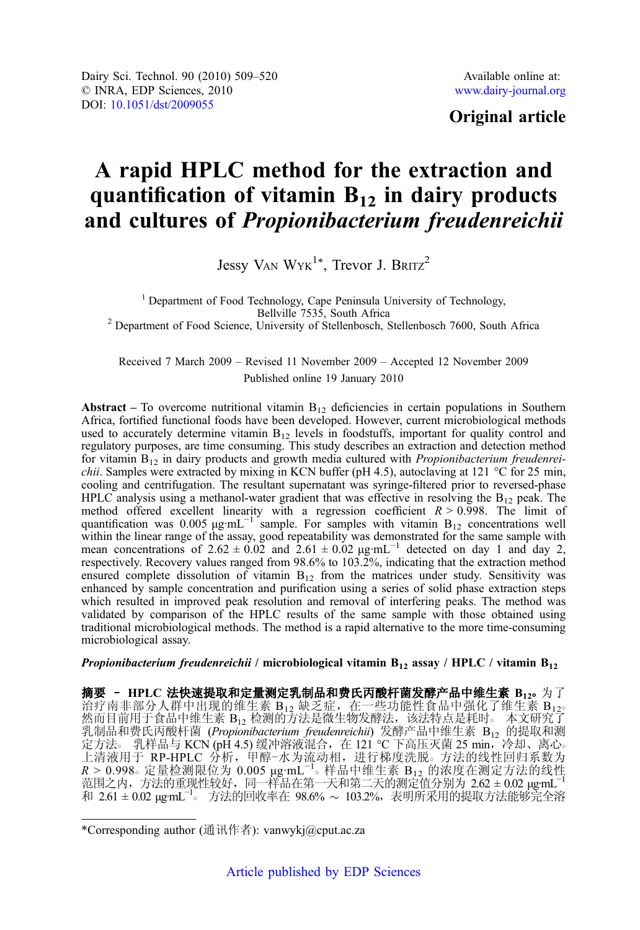# Original article

# A rapid HPLC method for the extraction and quantification of vitamin  $B_{12}$  in dairy products and cultures of Propionibacterium freudenreichii

Jessy VAN  $WYK^{1*}$ , Trevor J. BRITZ<sup>2</sup>

<sup>1</sup> Department of Food Technology, Cape Peninsula University of Technology, Bellville 7535, South Africa  $2$  Department of Food Science, University of Stellenbosch, Stellenbosch 7600, South Africa

Received 7 March 2009 – Revised 11 November 2009 – Accepted 12 November 2009 Published online 19 January 2010

**Abstract** – To overcome nutritional vitamin  $B_{12}$  deficiencies in certain populations in Southern Africa, fortified functional foods have been developed. However, current microbiological methods used to accurately determine vitamin  $B_{12}$  levels in foodstuffs, important for quality control and regulatory purposes, are time consuming. This study describes an extraction and detection method for vitamin  $B_{12}$  in dairy products and growth media cultured with *Propionibacterium freudenreichii.* Samples were extracted by mixing in KCN buffer (pH 4.5), autoclaving at 121 °C for 25 min, cooling and centrifugation. The resultant supernatant was syringe-filtered prior to reversed-phase HPLC analysis using a methanol-water gradient that was effective in resolving the  $B_{12}$  peak. The method offered excellent linearity with a regression coefficient  $R > 0.998$ . The limit of quantification was 0.005  $\mu$ g·mL<sup>-1</sup> sample. For samples with vitamin B<sub>12</sub> concentrations well within the linear range of the assay, good repeatability was demonstrated for the same sample with mean concentrations of  $2.62 \pm 0.02$  and  $2.61 \pm 0.02$   $\mu$ g·mL<sup>-1</sup> detected on day 1 and day 2, respectively. Recovery values ranged from 98.6% to 103.2%, indicating that the extraction method ensured complete dissolution of vitamin  $B_{12}$  from the matrices under study. Sensitivity was enhanced by sample concentration and purification using a series of solid phase extraction steps which resulted in improved peak resolution and removal of interfering peaks. The method was validated by comparison of the HPLC results of the same sample with those obtained using traditional microbiological methods. The method is a rapid alternative to the more time-consuming microbiological assay.

*Propionibacterium freudenreichii* / microbiological vitamin  $B_{12}$  assay / HPLC / vitamin  $B_{12}$ 

摘要 - HPLC 法快速提取和定量测定乳制品和费氏丙酸杆菌发酵产品中维生素 B<sub>12</sub>。为了 治疗南非部分人群中出现的维生素 B12 缺乏症, 在一些功能性食品中强化了维生素 B12° 然而目前用于食品中维生素 B<sub>12</sub> 检测的方法是微生物发酵法,该法特点是耗时。 本文研究了 乳制品和费氏丙酸杆菌 (Propionibacterium freudenreichii) 发酵产品中维生素 B<sub>12</sub> 的提取和测 定方法。 乳样品与 KCN (pH 4.5) 缓冲溶液混合,在 121 ℃ 下高压灭菌 25 min,冷却、离心。 上清液用于 RP-HPLC 分析, 甲醇-水为流动相, 进行梯度洗脱。方法的线性回归系数为  $R > 0.998$ 。定量检测限位为 0.005 μg·mL<sup>−1</sup>。样品中维生素 B<sub>12</sub> 的浓度在测定方法的线性 范围之内,方法的重现性较好,同一样品在第一天和第二天的测定值分别为 2.62 ± 0.02  $\mu$ g·mL $^{-1}$ 和 2.61 ± 0.02 μg·mL−<sup>1</sup> ○ <sup>方</sup>法的回收率<sup>在</sup> 98.6% 103.2%,表明所采用的提取方法能够完全<sup>溶</sup>

<sup>\*</sup>Corresponding author (通讯作者): vanwykj@cput.ac.za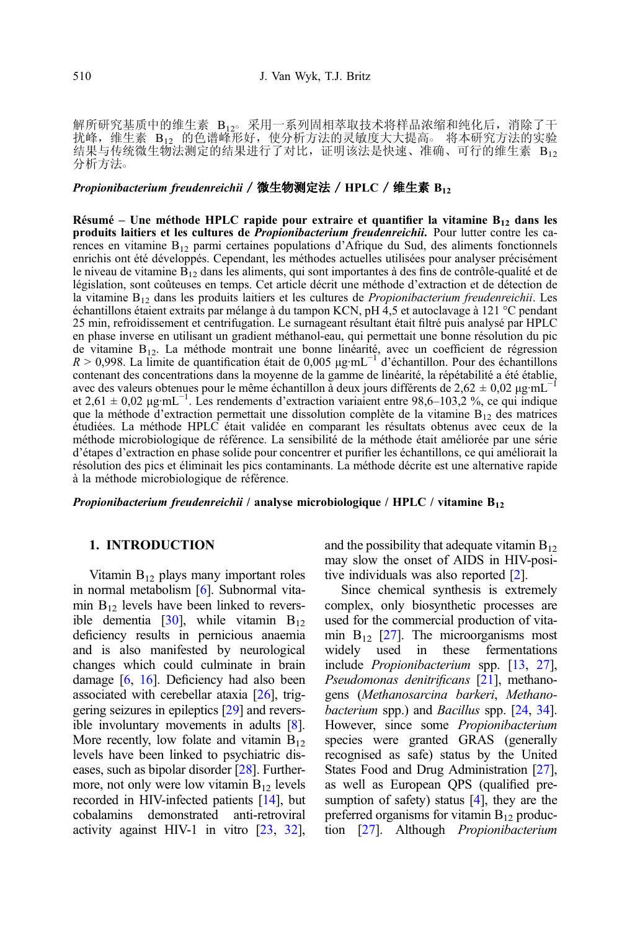解所研究基质中的维生素 B120 采用一系列固相萃取技术将样品浓缩和纯化后,消除了干 扰峰,维生素 B12 的色谱峰形好,使分析方法的灵敏度大大提高。 将本研究方法的实验 结果与传统微生物法测定的结果进行了对比,证明该法是快速、准确、可行的维生素 B12 分析方法○

#### Propionibacterium freudenreichii / 微生物测定法 / HPLC / 维生素  $B_{12}$

Résumé – Une méthode HPLC rapide pour extraire et quantifier la vitamine  $B_{12}$  dans les produits laitiers et les cultures de *Propionibacterium freudenreichii*. Pour lutter contre les carences en vitamine  $B_{12}$  parmi certaines populations d'Afrique du Sud, des aliments fonctionnels enrichis ont été développés. Cependant, les méthodes actuelles utilisées pour analyser précisément le niveau de vitamine  $B_{12}$  dans les aliments, qui sont importantes à des fins de contrôle-qualité et de législation, sont coûteuses en temps. Cet article décrit une méthode d'extraction et de détection de la vitamine  $B_{12}$  dans les produits laitiers et les cultures de *Propionibacterium freudenreichii*. Les échantillons étaient extraits par mélange à du tampon KCN, pH 4,5 et autoclavage à 121 °C pendant 25 min, refroidissement et centrifugation. Le surnageant résultant était filtré puis analysé par HPLC en phase inverse en utilisant un gradient méthanol-eau, qui permettait une bonne résolution du pic de vitamine B12. La méthode montrait une bonne linéarité, avec un coefficient de régression  $R > 0.998$ . La limite de quantification était de 0,005 μg·mL<sup>-1'</sup> d'échantillon. Pour des échantillons contenant des concentrations dans la moyenne de la gamme de linéarité, la répétabilité a été établie, avec des valeurs obtenues pour le même échantillon  $\tilde{\text{a}}$  deux jours différents de 2,62 ± 0,02 μg·mL<sup>-1</sup> et 2,61 ± 0,02 μg·mL−<sup>1</sup> . Les rendements d'extraction variaient entre 98,6–103,2 %, ce qui indique que la méthode d'extraction permettait une dissolution complète de la vitamine  $B_{12}$  des matrices étudiées. La méthode HPLC était validée en comparant les résultats obtenus avec ceux de la méthode microbiologique de référence. La sensibilité de la méthode était améliorée par une série d'étapes d'extraction en phase solide pour concentrer et purifier les échantillons, ce qui améliorait la résolution des pics et éliminait les pics contaminants. La méthode décrite est une alternative rapide à la méthode microbiologique de référence.

*Propionibacterium freudenreichii* / analyse microbiologique / HPLC / vitamine  $B_{12}$ 

#### 1. INTRODUCTION

Vitamin  $B_{12}$  plays many important roles in normal metabolism [\[6](#page-10-0)]. Subnormal vitamin  $B_{12}$  levels have been linked to reversible dementia  $[30]$ , while vitamin  $B_{12}$ deficiency results in pernicious anaemia and is also manifested by neurological changes which could culminate in brain damage [[6](#page-10-0), [16\]](#page-10-0). Deficiency had also been associated with cerebellar ataxia [\[26\]](#page-11-0), triggering seizures in epileptics [\[29\]](#page-11-0) and reversible involuntary movements in adults [\[8\]](#page-10-0). More recently, low folate and vitamin  $B_{12}$ levels have been linked to psychiatric diseases, such as bipolar disorder [[28](#page-11-0)]. Furthermore, not only were low vitamin  $B_{12}$  levels recorded in HIV-infected patients [\[14\]](#page-10-0), but cobalamins demonstrated anti-retroviral activity against HIV-1 in vitro [\[23,](#page-10-0) [32\]](#page-11-0), and the possibility that adequate vitamin  $B_{12}$ may slow the onset of AIDS in HIV-positive individuals was also reported [\[2\]](#page-10-0).

Since chemical synthesis is extremely complex, only biosynthetic processes are used for the commercial production of vitamin  $B_{12}$  [\[27](#page-11-0)]. The microorganisms most<br>widely used in these fermentations fermentations include Propionibacterium spp. [[13](#page-10-0), [27](#page-11-0)], Pseudomonas denitrificans [\[21](#page-10-0)], methanogens (Methanosarcina barkeri, Methanobacterium spp.) and *Bacillus* spp. [[24](#page-10-0), [34](#page-11-0)]. However, since some Propionibacterium species were granted GRAS (generally recognised as safe) status by the United States Food and Drug Administration [\[27](#page-11-0)], as well as European QPS (qualified presumption of safety) status  $[4]$  $[4]$ , they are the preferred organisms for vitamin  $B_{12}$  production [[27](#page-11-0)]. Although Propionibacterium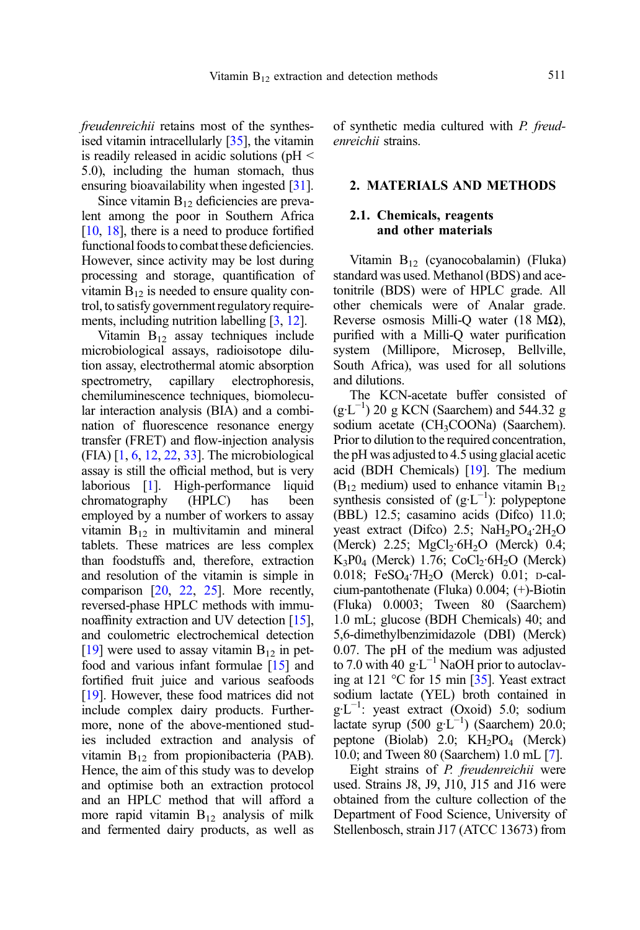freudenreichii retains most of the synthesised vitamin intracellularly [\[35\]](#page-11-0), the vitamin is readily released in acidic solutions (pH < 5.0), including the human stomach, thus ensuring bioavailability when ingested [\[31](#page-11-0)].

Since vitamin  $B_{12}$  deficiencies are prevalent among the poor in Southern Africa [[10](#page-10-0), [18](#page-10-0)], there is a need to produce fortified functional foods to combat these deficiencies. However, since activity may be lost during processing and storage, quantification of vitamin  $B_{12}$  is needed to ensure quality control, to satisfy government regulatory requirements, including nutrition labelling [\[3,](#page-10-0) [12](#page-10-0)].

Vitamin  $B_{12}$  assay techniques include microbiological assays, radioisotope dilution assay, electrothermal atomic absorption spectrometry, capillary electrophoresis, chemiluminescence techniques, biomolecular interaction analysis (BIA) and a combination of fluorescence resonance energy transfer (FRET) and flow-injection analysis (FIA) [[1](#page-10-0), [6,](#page-10-0) [12](#page-10-0), [22,](#page-10-0) [33](#page-11-0)]. The microbiological assay is still the official method, but is very laborious [[1](#page-10-0)]. High-performance liquid chromatography (HPLC) has been employed by a number of workers to assay vitamin  $B_{12}$  in multivitamin and mineral tablets. These matrices are less complex than foodstuffs and, therefore, extraction and resolution of the vitamin is simple in comparison [\[20](#page-10-0), [22,](#page-10-0) [25\]](#page-11-0). More recently, reversed-phase HPLC methods with immunoaffinity extraction and UV detection [\[15](#page-10-0)], and coulometric electrochemical detection [[19](#page-10-0)] were used to assay vitamin  $B_{12}$  in petfood and various infant formulae [[15](#page-10-0)] and fortified fruit juice and various seafoods [[19](#page-10-0)]. However, these food matrices did not include complex dairy products. Furthermore, none of the above-mentioned studies included extraction and analysis of vitamin  $B_{12}$  from propionibacteria (PAB). Hence, the aim of this study was to develop and optimise both an extraction protocol and an HPLC method that will afford a more rapid vitamin  $B_{12}$  analysis of milk and fermented dairy products, as well as

of synthetic media cultured with P. freudenreichii strains.

#### 2. MATERIALS AND METHODS

#### 2.1. Chemicals, reagents and other materials

Vitamin B12 (cyanocobalamin) (Fluka) standard was used. Methanol (BDS) and acetonitrile (BDS) were of HPLC grade. All other chemicals were of Analar grade. Reverse osmosis Milli-Q water (18 MΩ), purified with a Milli-Q water purification system (Millipore, Microsep, Bellville, South Africa), was used for all solutions and dilutions.

The KCN-acetate buffer consisted of  $(g·L^{-1})$  20 g KCN (Saarchem) and 544.32 g sodium acetate (CH<sub>3</sub>COONa) (Saarchem). Prior to dilution to the required concentration, the pH was adjusted to 4.5 using glacial acetic acid (BDH Chemicals) [\[19\]](#page-10-0). The medium  $(B_{12}$  medium) used to enhance vitamin  $B_{12}$ synthesis consisted of  $(g·L^{-1})$ : polypeptone (BBL) 12.5; casamino acids (Difco) 11.0; yeast extract (Difco) 2.5;  $NaH<sub>2</sub>PO<sub>4</sub>·2H<sub>2</sub>O$ (Merck) 2.25;  $MgCl<sub>2</sub>·6H<sub>2</sub>O$  (Merck) 0.4;  $K_3P0_4$  (Merck) 1.76; CoCl<sub>2</sub>·6H<sub>2</sub>O (Merck) 0.018; FeSO<sub>4</sub>·7H<sub>2</sub>O (Merck) 0.01; p-calcium-pantothenate (Fluka) 0.004; (+)-Biotin (Fluka) 0.0003; Tween 80 (Saarchem) 1.0 mL; glucose (BDH Chemicals) 40; and 5,6-dimethylbenzimidazole (DBI) (Merck) 0.07. The pH of the medium was adjusted to 7.0 with 40  $g \text{·} \text{L}^{-1}$  NaOH prior to autoclaving at 121 °C for 15 min [[35](#page-11-0)]. Yeast extract sodium lactate (YEL) broth contained in g·L−<sup>1</sup> : yeast extract (Oxoid) 5.0; sodium lactate syrup (500 g·L<sup>-1</sup>) (Saarchem) 20.0; peptone (Biolab) 2.0;  $KH<sub>2</sub>PO<sub>4</sub>$  (Merck) 10.0; and Tween 80 (Saarchem) 1.0 mL [\[7](#page-10-0)].

Eight strains of P. freudenreichii were used. Strains J8, J9, J10, J15 and J16 were obtained from the culture collection of the Department of Food Science, University of Stellenbosch, strain J17 (ATCC 13673) from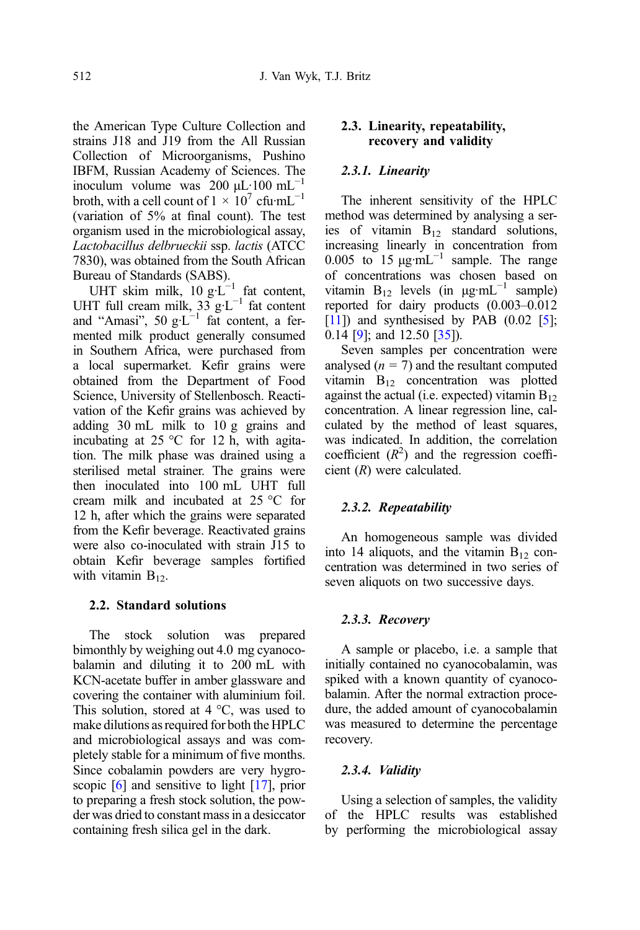the American Type Culture Collection and strains J18 and J19 from the All Russian Collection of Microorganisms, Pushino IBFM, Russian Academy of Sciences. The inoculum volume was 200  $\mu$ L·100 mL<sup>-1</sup> broth, with a cell count of  $1 \times 10^7$  cfu·mL<sup>-1</sup> (variation of 5% at final count). The test organism used in the microbiological assay, Lactobacillus delbrueckii ssp. lactis (ATCC 7830), was obtained from the South African Bureau of Standards (SABS).

UHT skim milk,  $10 \text{ g} \cdot L^{-1}$  fat content, UHT full cream milk,  $33 \text{ g} \cdot \text{L}^{-1}$  fat content and "Amasi", 50  $g L^{-1}$  fat content, a fermented milk product generally consumed in Southern Africa, were purchased from a local supermarket. Kefir grains were obtained from the Department of Food Science, University of Stellenbosch. Reactivation of the Kefir grains was achieved by adding 30 mL milk to 10 g grains and incubating at  $25 \degree C$  for 12 h, with agitation. The milk phase was drained using a sterilised metal strainer. The grains were then inoculated into 100 mL UHT full cream milk and incubated at 25 °C for 12 h, after which the grains were separated from the Kefir beverage. Reactivated grains were also co-inoculated with strain J15 to obtain Kefir beverage samples fortified with vitamin  $B_{12}$ .

### 2.2. Standard solutions

The stock solution was prepared bimonthly by weighing out 4.0 mg cyanocobalamin and diluting it to 200 mL with KCN-acetate buffer in amber glassware and covering the container with aluminium foil. This solution, stored at  $4^{\circ}$ C, was used to make dilutions as required for both the HPLC and microbiological assays and was completely stable for a minimum of five months. Since cobalamin powders are very hygroscopic [\[6](#page-10-0)] and sensitive to light [\[17\]](#page-10-0), prior to preparing a fresh stock solution, the powder was dried to constant mass in a desiccator containing fresh silica gel in the dark.

### 2.3. Linearity, repeatability, recovery and validity

#### 2.3.1. Linearity

The inherent sensitivity of the HPLC method was determined by analysing a series of vitamin  $B_{12}$  standard solutions, increasing linearly in concentration from 0.005 to 15  $\mu$ g·mL<sup>-1</sup> sample. The range of concentrations was chosen based on vitamin  $B_{12}$  levels (in  $\mu$ g·mL<sup>-1</sup> sample) reported for dairy products (0.003–0.012  $[11]$  $[11]$  $[11]$ ) and synthesised by PAB  $(0.02 \; [5];$  $(0.02 \; [5];$  $(0.02 \; [5];$ 0.14 [[9\]](#page-10-0); and 12.50 [\[35\]](#page-11-0)).

Seven samples per concentration were analysed  $(n = 7)$  and the resultant computed vitamin  $B_{12}$  concentration was plotted against the actual (i.e. expected) vitamin  $B_{12}$ concentration. A linear regression line, calculated by the method of least squares, was indicated. In addition, the correlation coefficient  $(R^2)$  and the regression coefficient (R) were calculated.

#### 2.3.2. Repeatability

An homogeneous sample was divided into 14 aliquots, and the vitamin  $B_{12}$  concentration was determined in two series of seven aliquots on two successive days.

#### 2.3.3. Recovery

A sample or placebo, i.e. a sample that initially contained no cyanocobalamin, was spiked with a known quantity of cyanocobalamin. After the normal extraction procedure, the added amount of cyanocobalamin was measured to determine the percentage recovery.

#### 2.3.4. Validity

Using a selection of samples, the validity of the HPLC results was established by performing the microbiological assay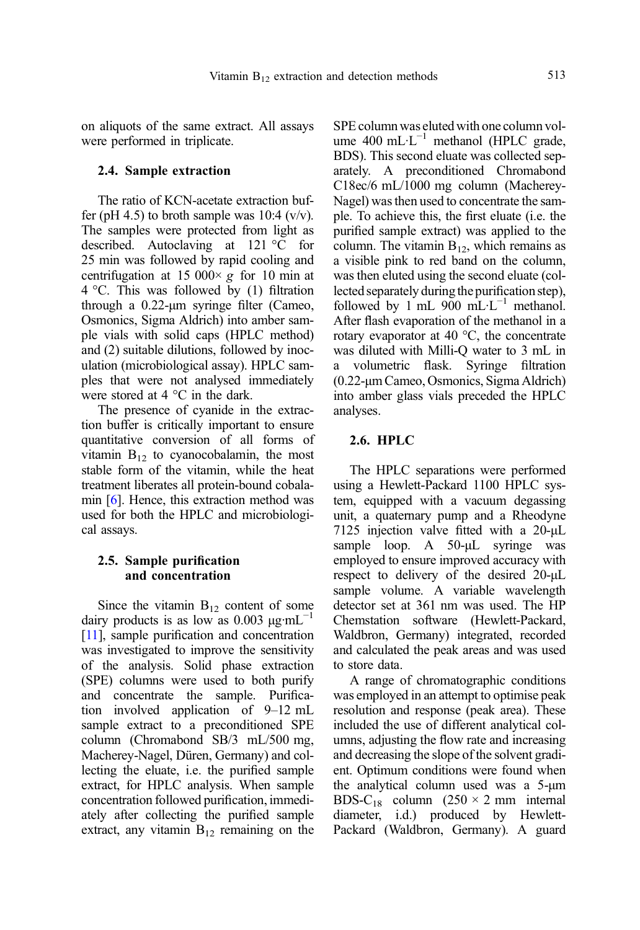on aliquots of the same extract. All assays were performed in triplicate.

#### 2.4. Sample extraction

The ratio of KCN-acetate extraction buffer (pH 4.5) to broth sample was 10:4 ( $v/v$ ). The samples were protected from light as described. Autoclaving at 121 °C for 25 min was followed by rapid cooling and centrifugation at 15 000 $\times$  g for 10 min at 4 °C. This was followed by (1) filtration through a 0.22-μm syringe filter (Cameo, Osmonics, Sigma Aldrich) into amber sample vials with solid caps (HPLC method) and (2) suitable dilutions, followed by inoculation (microbiological assay). HPLC samples that were not analysed immediately were stored at 4 °C in the dark.

The presence of cyanide in the extraction buffer is critically important to ensure quantitative conversion of all forms of vitamin  $B_{12}$  to cyanocobalamin, the most stable form of the vitamin, while the heat treatment liberates all protein-bound cobalamin [[6\]](#page-10-0). Hence, this extraction method was used for both the HPLC and microbiological assays.

#### 2.5. Sample purification and concentration

Since the vitamin  $B_{12}$  content of some dairy products is as low as 0.003  $\mu$ g·mL<sup>-1</sup> [[11\]](#page-10-0), sample purification and concentration was investigated to improve the sensitivity of the analysis. Solid phase extraction (SPE) columns were used to both purify and concentrate the sample. Purification involved application of 9–12 mL sample extract to a preconditioned SPE column (Chromabond SB/3 mL/500 mg, Macherey-Nagel, Düren, Germany) and collecting the eluate, i.e. the purified sample extract, for HPLC analysis. When sample concentration followed purification, immediately after collecting the purified sample extract, any vitamin  $B_{12}$  remaining on the SPE column was eluted with one column volume 400 mL·L<sup>-1</sup> methanol (HPLC grade, BDS). This second eluate was collected separately. A preconditioned Chromabond C18ec/6 mL/1000 mg column (Macherey-Nagel) was then used to concentrate the sample. To achieve this, the first eluate (i.e. the purified sample extract) was applied to the column. The vitamin  $B_{12}$ , which remains as a visible pink to red band on the column, was then eluted using the second eluate (collected separately during the purification step), followed by 1 mL 900 mL⋅L<sup>-1</sup> methanol. After flash evaporation of the methanol in a rotary evaporator at 40 °C, the concentrate was diluted with Milli-Q water to 3 mL in a volumetric flask. Syringe filtration (0.22-μm Cameo, Osmonics, Sigma Aldrich) into amber glass vials preceded the HPLC analyses.

#### 2.6. HPLC

The HPLC separations were performed using a Hewlett-Packard 1100 HPLC system, equipped with a vacuum degassing unit, a quaternary pump and a Rheodyne 7125 injection valve fitted with a 20-μL sample loop. A 50-μL syringe was employed to ensure improved accuracy with respect to delivery of the desired 20-μL sample volume. A variable wavelength detector set at 361 nm was used. The HP Chemstation software (Hewlett-Packard, Waldbron, Germany) integrated, recorded and calculated the peak areas and was used to store data.

A range of chromatographic conditions was employed in an attempt to optimise peak resolution and response (peak area). These included the use of different analytical columns, adjusting the flow rate and increasing and decreasing the slope of the solvent gradient. Optimum conditions were found when the analytical column used was a 5-μm BDS-C<sub>18</sub> column (250  $\times$  2 mm internal diameter, i.d.) produced by Hewlett-Packard (Waldbron, Germany). A guard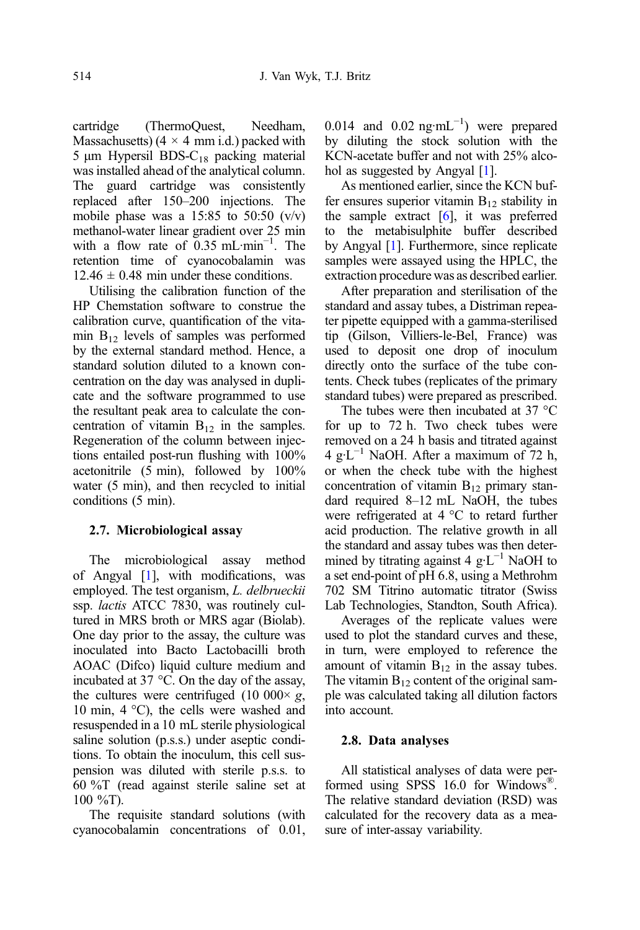cartridge (ThermoQuest, Needham, Massachusetts)  $(4 \times 4 \text{ mm i.d.})$  packed with 5 μm Hypersil BDS- $C_{18}$  packing material was installed ahead of the analytical column. The guard cartridge was consistently replaced after 150–200 injections. The mobile phase was a  $15:85$  to  $50:50$  (v/v) methanol-water linear gradient over 25 min with a flow rate of  $0.35$  mL·min<sup>-1</sup>. The retention time of cyanocobalamin was  $12.46 \pm 0.48$  min under these conditions.

Utilising the calibration function of the HP Chemstation software to construe the calibration curve, quantification of the vitamin  $B_{12}$  levels of samples was performed by the external standard method. Hence, a standard solution diluted to a known concentration on the day was analysed in duplicate and the software programmed to use the resultant peak area to calculate the concentration of vitamin  $B_{12}$  in the samples. Regeneration of the column between injections entailed post-run flushing with 100% acetonitrile (5 min), followed by 100% water (5 min), and then recycled to initial conditions (5 min).

# 2.7. Microbiological assay

The microbiological assay method of Angyal [\[1](#page-10-0)], with modifications, was employed. The test organism, *L. delbrueckii* ssp. lactis ATCC 7830, was routinely cultured in MRS broth or MRS agar (Biolab). One day prior to the assay, the culture was inoculated into Bacto Lactobacilli broth AOAC (Difco) liquid culture medium and incubated at 37 °C. On the day of the assay, the cultures were centrifuged (10 000 $\times$  g, 10 min, 4 °C), the cells were washed and resuspended in a 10 mL sterile physiological saline solution (p.s.s.) under aseptic conditions. To obtain the inoculum, this cell suspension was diluted with sterile p.s.s. to 60 %T (read against sterile saline set at 100 %T).

The requisite standard solutions (with cyanocobalamin concentrations of 0.01,

0.014 and  $0.02$  ng·mL<sup>-1</sup>) were prepared by diluting the stock solution with the KCN-acetate buffer and not with 25% alcohol as suggested by Angyal [\[1](#page-10-0)].

As mentioned earlier, since the KCN buffer ensures superior vitamin  $B_{12}$  stability in the sample extract  $[6]$  $[6]$ , it was preferred to the metabisulphite buffer described by Angyal [\[1](#page-10-0)]. Furthermore, since replicate samples were assayed using the HPLC, the extraction procedure was as described earlier.

After preparation and sterilisation of the standard and assay tubes, a Distriman repeater pipette equipped with a gamma-sterilised tip (Gilson, Villiers-le-Bel, France) was used to deposit one drop of inoculum directly onto the surface of the tube contents. Check tubes (replicates of the primary standard tubes) were prepared as prescribed.

The tubes were then incubated at 37 °C for up to 72 h. Two check tubes were removed on a 24 h basis and titrated against 4 g·L<sup>-1</sup> NaOH. After a maximum of 72 h, or when the check tube with the highest concentration of vitamin  $B_{12}$  primary standard required 8–12 mL NaOH, the tubes were refrigerated at 4 °C to retard further acid production. The relative growth in all the standard and assay tubes was then determined by titrating against 4  $g \cdot L^{-1}$  NaOH to a set end-point of pH 6.8, using a Methrohm 702 SM Titrino automatic titrator (Swiss Lab Technologies, Standton, South Africa).

Averages of the replicate values were used to plot the standard curves and these, in turn, were employed to reference the amount of vitamin  $B_{12}$  in the assay tubes. The vitamin  $B_{12}$  content of the original sample was calculated taking all dilution factors into account.

# 2.8. Data analyses

All statistical analyses of data were performed using SPSS 16.0 for Windows®. The relative standard deviation (RSD) was calculated for the recovery data as a measure of inter-assay variability.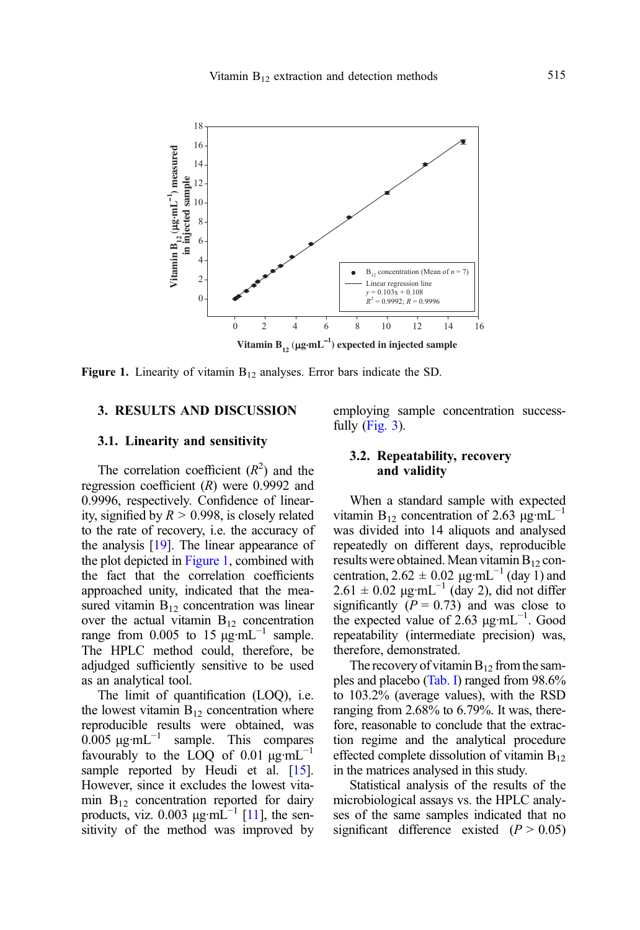

Figure 1. Linearity of vitamin  $B_{12}$  analyses. Error bars indicate the SD.

# 3. RESULTS AND DISCUSSION

#### 3.1. Linearity and sensitivity

The correlation coefficient  $(R^2)$  and the regression coefficient  $(R)$  were 0.9992 and 0.9996, respectively. Confidence of linearity, signified by  $R > 0.998$ , is closely related to the rate of recovery, i.e. the accuracy of the analysis [\[19\]](#page-10-0). The linear appearance of the plot depicted in Figure 1, combined with the fact that the correlation coefficients approached unity, indicated that the measured vitamin  $B_{12}$  concentration was linear over the actual vitamin  $B_{12}$  concentration range from 0.005 to 15  $\mu$ g·mL<sup>-1</sup> sample. The HPLC method could, therefore, be adjudged sufficiently sensitive to be used as an analytical tool.

The limit of quantification (LOQ), i.e. the lowest vitamin  $B_{12}$  concentration where reproducible results were obtained, was 0.005  $\mu$ g·mL<sup>-1</sup> sample. This compares favourably to the LOQ of 0.01  $\mu$ g·mL<sup>-1</sup> sample reported by Heudi et al. [\[15](#page-10-0)]. However, since it excludes the lowest vitamin  $B_{12}$  concentration reported for dairy products, viz. 0.003  $\mu$ g·mL<sup>-1</sup> [\[11\]](#page-10-0), the sensitivity of the method was improved by employing sample concentration successfully [\(Fig. 3](#page-8-0)).

## 3.2. Repeatability, recovery and validity

When a standard sample with expected vitamin B<sub>12</sub> concentration of 2.63 μg·mL<sup>-1</sup> was divided into 14 aliquots and analysed repeatedly on different days, reproducible results were obtained. Mean vitamin  $B_{12}$  concentration,  $2.62 \pm 0.02$   $\mu$ g·mL<sup>-1</sup> (day 1) and  $2.61 \pm 0.02$  μg·mL<sup>-1</sup> (day 2), did not differ significantly  $(P = 0.73)$  and was close to the expected value of 2.63  $\mu$ g·mL<sup>-1</sup>. Good repeatability (intermediate precision) was, therefore, demonstrated.

The recovery of vitamin  $B_{12}$  from the samples and placebo [\(Tab. I](#page-8-0)) ranged from 98.6% to 103.2% (average values), with the RSD ranging from 2.68% to 6.79%. It was, therefore, reasonable to conclude that the extraction regime and the analytical procedure effected complete dissolution of vitamin  $B_{12}$ in the matrices analysed in this study.

Statistical analysis of the results of the microbiological assays vs. the HPLC analyses of the same samples indicated that no significant difference existed  $(P > 0.05)$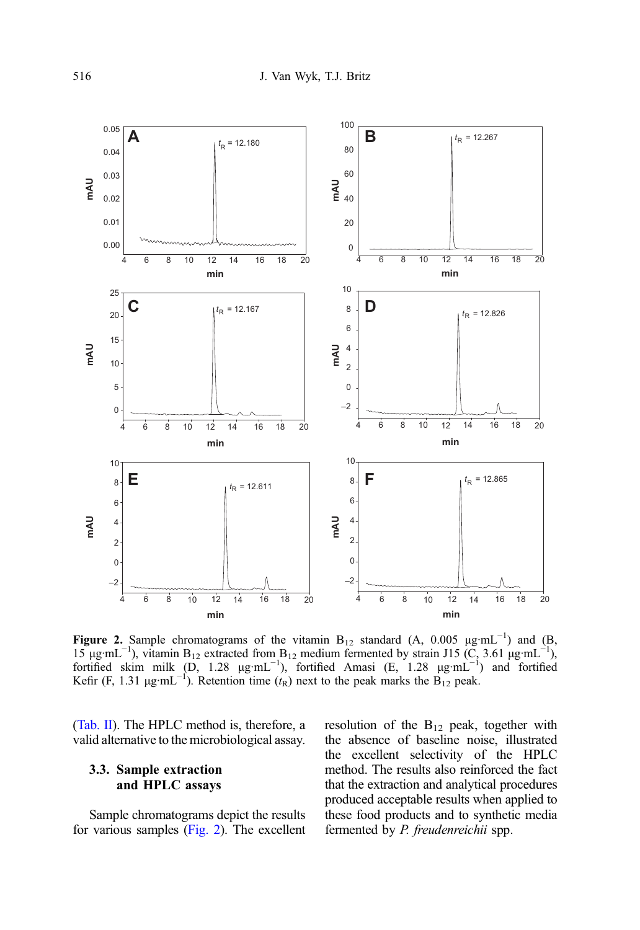<span id="page-7-0"></span>

Figure 2. Sample chromatograms of the vitamin  $B_{12}$  standard (A, 0.005  $\mu g$ ·mL<sup>-1</sup>) and (B, 15 µg·mL<sup>-1</sup>), vitamin B<sub>12</sub> extracted from B<sub>12</sub> medium fermented by strain J15 (C, 3.61 µg·mL<sup>-1</sup>), fortified skim milk  $(D, 1.28 \mu g \cdot mL^{-1})$ , fortified Amasi  $(E, 1.28 \mu g \cdot mL^{-1})$  and fortified Kefir (F, 1.31  $\mu$ g·mL<sup>-1</sup>). Retention time (t<sub>R</sub>) next to the peak marks the  $\overline{B}_{12}$  peak.

[\(Tab. II](#page-9-0)). The HPLC method is, therefore, a valid alternative to the microbiological assay.

# 3.3. Sample extraction and HPLC assays

Sample chromatograms depict the results for various samples (Fig. 2). The excellent resolution of the  $B_{12}$  peak, together with the absence of baseline noise, illustrated the excellent selectivity of the HPLC method. The results also reinforced the fact that the extraction and analytical procedures produced acceptable results when applied to these food products and to synthetic media fermented by P. freudenreichii spp.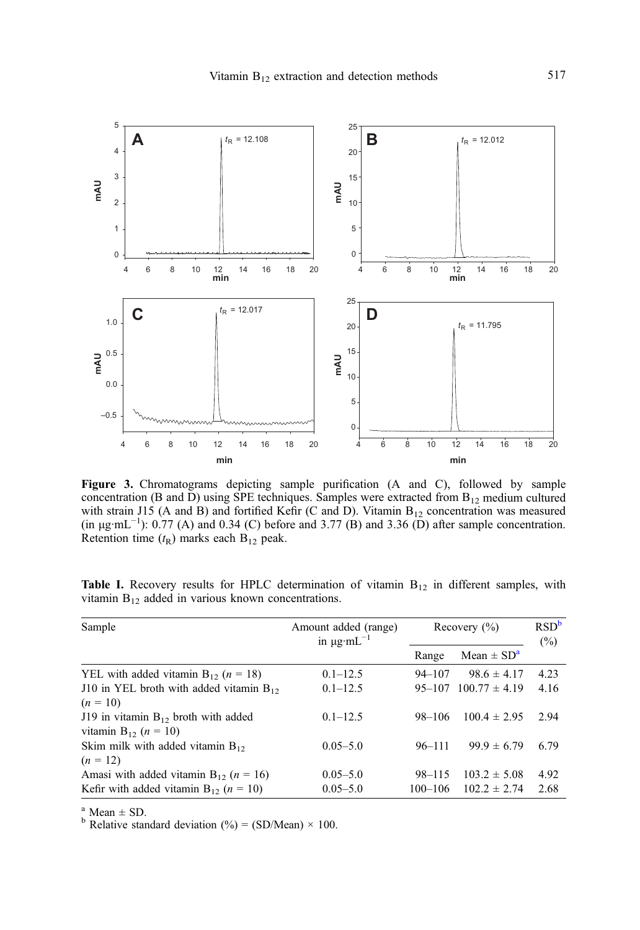<span id="page-8-0"></span>

Figure 3. Chromatograms depicting sample purification (A and C), followed by sample concentration (B and D) using SPE techniques. Samples were extracted from  $B_{12}$  medium cultured with strain J15 (A and B) and fortified Kefir (C and D). Vitamin  $B_{12}$  concentration was measured (in  $\mu$ g·mL<sup>-1</sup>): 0.77 (A) and 0.34 (C) before and 3.77 (B) and 3.36 (D) after sample concentration. Retention time  $(t_R)$  marks each  $B_{12}$  peak.

| Sample                                                                        | Amount added (range)<br>in $\mu$ g·mL <sup>-1</sup> | Recovery $(\% )$ |                            | RSD <sup>b</sup><br>$(\%)$ |
|-------------------------------------------------------------------------------|-----------------------------------------------------|------------------|----------------------------|----------------------------|
|                                                                               |                                                     | Range            | Mean $\pm$ SD <sup>a</sup> |                            |
| YEL with added vitamin $B_{12}$ ( <i>n</i> = 18)                              | $0.1 - 12.5$                                        | $94 - 107$       | $98.6 \pm 4.17$            | 4.23                       |
| J10 in YEL broth with added vitamin $B_{12}$                                  | $0.1 - 12.5$                                        | $95 - 107$       | $100.77 \pm 4.19$          | 4.16                       |
| $(n = 10)$                                                                    |                                                     |                  |                            |                            |
| J19 in vitamin $B_{12}$ broth with added<br>vitamin $B_{12}$ ( <i>n</i> = 10) | $0.1 - 12.5$                                        | $98 - 106$       | $100.4 \pm 2.95$           | 2.94                       |
| Skim milk with added vitamin $B_{12}$                                         | $0.05 - 5.0$                                        | $96 - 111$       | $99.9 \pm 6.79$            | 6.79                       |
| $(n = 12)$                                                                    |                                                     |                  |                            |                            |
| Amasi with added vitamin $B_{12}$ ( <i>n</i> = 16)                            | $0.05 - 5.0$                                        | $98 - 115$       | $103.2 \pm 5.08$           | 4.92                       |
| Kefir with added vitamin $B_{12}$ ( $n = 10$ )                                | $0.05 - 5.0$                                        | $100 - 106$      | $102.2 \pm 2.74$           | 2.68                       |

**Table I.** Recovery results for HPLC determination of vitamin  $B_{12}$  in different samples, with vitamin  $B_{12}$  added in various known concentrations.

<sup>a</sup> Mean  $\pm$  SD.<br><sup>b</sup> Relative standard deviation (%) = (SD/Mean) × 100.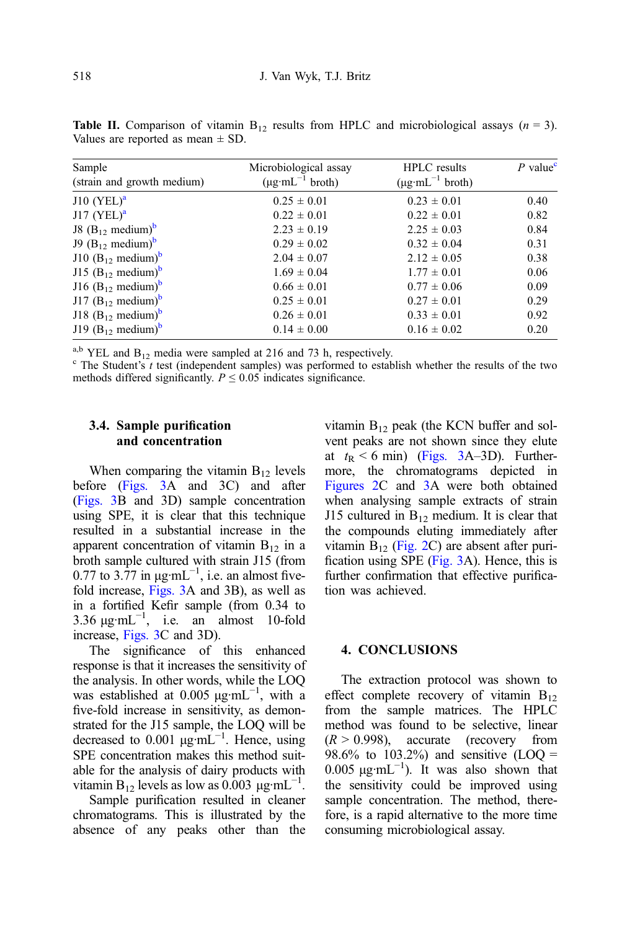<span id="page-9-0"></span>**Table II.** Comparison of vitamin  $B_{12}$  results from HPLC and microbiological assays  $(n = 3)$ . Values are reported as mean  $\pm$  SD.

| Sample<br>(strain and growth medium) | Microbiological assay<br>$(\mu g \cdot mL^{-1}$ broth) | <b>HPLC</b> results<br>$(\mu \text{g} \cdot \text{m} \text{L}^{-1} \text{ broth})$ | $P$ value <sup><math>\degree</math></sup> |
|--------------------------------------|--------------------------------------------------------|------------------------------------------------------------------------------------|-------------------------------------------|
|                                      |                                                        |                                                                                    |                                           |
| $J10$ (YEL) <sup>a</sup>             | $0.25 \pm 0.01$                                        | $0.23 \pm 0.01$                                                                    | 0.40                                      |
| $J17$ (YEL) <sup>a</sup>             | $0.22 \pm 0.01$                                        | $0.22 \pm 0.01$                                                                    | 0.82                                      |
| J8 $(B_1, \text{ medium})^b$         | $2.23 \pm 0.19$                                        | $2.25 \pm 0.03$                                                                    | 0.84                                      |
| J9 $(B_{12} \text{ medium})^6$       | $0.29 \pm 0.02$                                        | $0.32 \pm 0.04$                                                                    | 0.31                                      |
| J10 $(B_{12} \text{ medium})^b$      | $2.04 \pm 0.07$                                        | $2.12 \pm 0.05$                                                                    | 0.38                                      |
| J15 $(B_{12} \text{ medium})^b$      | $1.69 \pm 0.04$                                        | $1.77 \pm 0.01$                                                                    | 0.06                                      |
| J16 $(B_{12} \text{ medium})^b$      | $0.66 \pm 0.01$                                        | $0.77 \pm 0.06$                                                                    | 0.09                                      |
| J17 $(B_{12} \text{ medium})^b$      | $0.25 \pm 0.01$                                        | $0.27 \pm 0.01$                                                                    | 0.29                                      |
| J18 $(B_{12} \text{ medium})^b$      | $0.26 \pm 0.01$                                        | $0.33 \pm 0.01$                                                                    | 0.92                                      |
| J19 $(B_{12} \text{ medium})^b$      | $0.14 \pm 0.00$                                        | $0.16 \pm 0.02$                                                                    | 0.20                                      |

<sup>a,b</sup> YEL and B<sub>12</sub> media were sampled at 216 and 73 h, respectively.<br><sup>c</sup> The Student's *t* test (independent samples) was performed to establish whether the results of the two methods differed significantly.  $P \leq 0.05$  indicates significance.

# 3.4. Sample purification and concentration

When comparing the vitamin  $B_{12}$  levels before [\(Figs. 3A](#page-8-0) and 3C) and after [\(Figs. 3B](#page-8-0) and 3D) sample concentration using SPE, it is clear that this technique resulted in a substantial increase in the apparent concentration of vitamin  $B_{12}$  in a broth sample cultured with strain J15 (from 0.77 to 3.77 in  $\mu$ g·mL<sup>-1</sup>, i.e. an almost fivefold increase, [Figs. 3](#page-8-0)A and 3B), as well as in a fortified Kefir sample (from 0.34 to 3.36  $\mu$ g·mL<sup>-1</sup>, i.e. an almost 10-fold increase, [Figs. 3](#page-8-0)C and 3D).

The significance of this enhanced response is that it increases the sensitivity of the analysis. In other words, while the LOQ was established at 0.005  $\mu$ g·mL<sup>-1</sup>, with a five-fold increase in sensitivity, as demonstrated for the J15 sample, the LOQ will be decreased to 0.001  $\mu g \cdot mL^{-1}$ . Hence, using SPE concentration makes this method suitable for the analysis of dairy products with vitamin  $B_{12}$  levels as low as 0.003  $\mu$ g·mL<sup>-1</sup>.

Sample purification resulted in cleaner chromatograms. This is illustrated by the absence of any peaks other than the

vitamin  $B_{12}$  peak (the KCN buffer and solvent peaks are not shown since they elute at  $t_R < 6$  min) [\(Figs. 3A](#page-8-0)–3D). Furthermore, the chromatograms depicted in [Figures 2](#page-7-0)C and [3](#page-8-0)A were both obtained when analysing sample extracts of strain J15 cultured in  $B_{12}$  medium. It is clear that the compounds eluting immediately after vitamin  $B_{12}$  [\(Fig. 2](#page-7-0)C) are absent after purification using SPE [\(Fig. 3A](#page-8-0)). Hence, this is further confirmation that effective purification was achieved.

#### 4. CONCLUSIONS

The extraction protocol was shown to effect complete recovery of vitamin B<sub>12</sub> from the sample matrices. The HPLC method was found to be selective, linear  $(R > 0.998)$ , accurate (recovery from 98.6% to  $103.2%$  and sensitive (LOQ = 0.005  $\mu$ g·mL<sup>-1</sup>). It was also shown that the sensitivity could be improved using sample concentration. The method, therefore, is a rapid alternative to the more time consuming microbiological assay.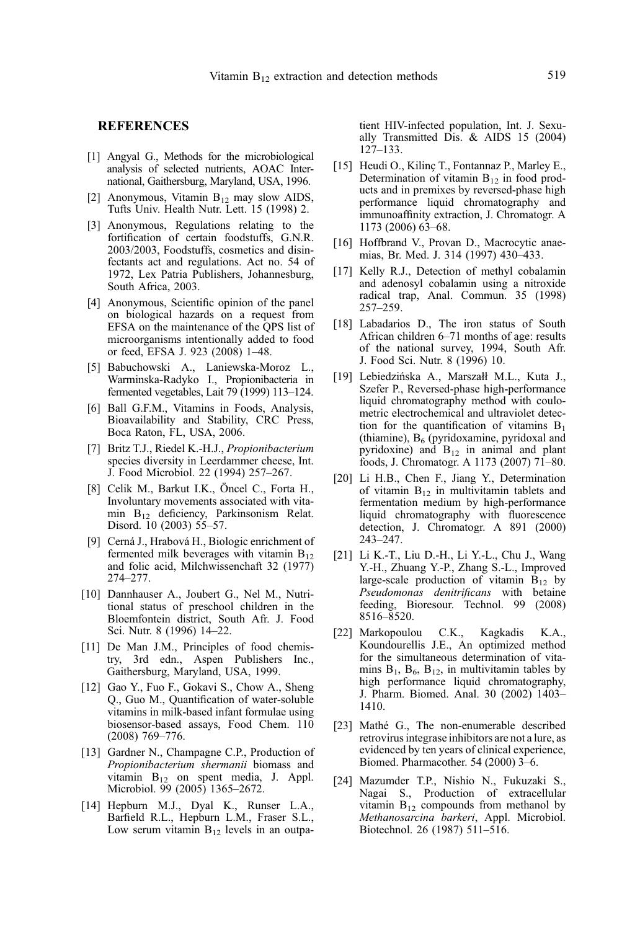#### <span id="page-10-0"></span>**REFERENCES**

- [1] Angyal G., Methods for the microbiological analysis of selected nutrients, AOAC International, Gaithersburg, Maryland, USA, 1996.
- [2] Anonymous, Vitamin  $B_{12}$  may slow AIDS, Tufts Univ. Health Nutr. Lett. 15 (1998) 2.
- [3] Anonymous, Regulations relating to the fortification of certain foodstuffs, G.N.R. 2003/2003, Foodstuffs, cosmetics and disinfectants act and regulations. Act no. 54 of 1972, Lex Patria Publishers, Johannesburg, South Africa, 2003.
- [4] Anonymous, Scientific opinion of the panel on biological hazards on a request from EFSA on the maintenance of the QPS list of microorganisms intentionally added to food or feed, EFSA J. 923 (2008) 1–48.
- [5] Babuchowski A., Laniewska-Moroz L., Warminska-Radyko I., Propionibacteria in fermented vegetables, Lait 79 (1999) 113–124.
- [6] Ball G.F.M., Vitamins in Foods, Analysis, Bioavailability and Stability, CRC Press, Boca Raton, FL, USA, 2006.
- [7] Britz T.J., Riedel K.-H.J., Propionibacterium species diversity in Leerdammer cheese, Int. J. Food Microbiol. 22 (1994) 257–267.
- [8] Celik M., Barkut I.K., Öncel C., Forta H., Involuntary movements associated with vitamin B12 deficiency, Parkinsonism Relat. Disord. 10 (2003) 55–57.
- [9] Cerná J., Hrabová H., Biologic enrichment of fermented milk beverages with vitamin  $B_{12}$ and folic acid, Milchwissenchaft 32 (1977) 274–277.
- [10] Dannhauser A., Joubert G., Nel M., Nutritional status of preschool children in the Bloemfontein district, South Afr. J. Food Sci. Nutr. 8 (1996) 14–22.
- [11] De Man J.M., Principles of food chemistry, 3rd edn., Aspen Publishers Inc., Gaithersburg, Maryland, USA, 1999.
- [12] Gao Y., Fuo F., Gokavi S., Chow A., Sheng Q., Guo M., Quantification of water-soluble vitamins in milk-based infant formulae using biosensor-based assays, Food Chem. 110 (2008) 769–776.
- [13] Gardner N., Champagne C.P., Production of Propionibacterium shermanii biomass and vitamin B12 on spent media, J. Appl. Microbiol. 99 (2005) 1365–2672.
- [14] Hepburn M.J., Dyal K., Runser L.A., Barfield R.L., Hepburn L.M., Fraser S.L., Low serum vitamin  $B_{12}$  levels in an outpa-

tient HIV-infected population, Int. J. Sexually Transmitted Dis. & AIDS 15 (2004) 127–133.

- [15] Heudi O., Kilinç T., Fontannaz P., Marley E., Determination of vitamin  $B_{12}$  in food products and in premixes by reversed-phase high performance liquid chromatography and immunoaffinity extraction, J. Chromatogr. A 1173 (2006) 63–68.
- [16] Hoffbrand V., Provan D., Macrocytic anaemias, Br. Med. J. 314 (1997) 430–433.
- [17] Kelly R.J., Detection of methyl cobalamin and adenosyl cobalamin using a nitroxide radical trap, Anal. Commun. 35 (1998) 257–259.
- [18] Labadarios D., The iron status of South African children 6–71 months of age: results of the national survey, 1994, South Afr. J. Food Sci. Nutr. 8 (1996) 10.
- [19] Lebiedzińska A., Marszałł M.L., Kuta J., Szefer P., Reversed-phase high-performance liquid chromatography method with coulometric electrochemical and ultraviolet detection for the quantification of vitamins  $B_1$ (thiamine),  $B_6$  (pyridoxamine, pyridoxal and pyridoxine) and  $B_{12}$  in animal and plant foods, J. Chromatogr. A 1173 (2007) 71–80.
- [20] Li H.B., Chen F., Jiang Y., Determination of vitamin B12 in multivitamin tablets and fermentation medium by high-performance liquid chromatography with fluorescence detection, J. Chromatogr. A 891 (2000) 243–247.
- [21] Li K.-T., Liu D.-H., Li Y.-L., Chu J., Wang Y.-H., Zhuang Y.-P., Zhang S.-L., Improved large-scale production of vitamin  $B_{12}$  by Pseudomonas denitrificans with betaine feeding, Bioresour. Technol. 99 (2008) 8516–8520.
- [22] Markopoulou C.K., Kagkadis K.A., Koundourellis J.E., An optimized method for the simultaneous determination of vitamins  $B_1$ ,  $B_6$ ,  $B_{12}$ , in multivitamin tables by high performance liquid chromatography, J. Pharm. Biomed. Anal. 30 (2002) 1403– 1410.
- [23] Mathé G., The non-enumerable described retrovirus integrase inhibitors are not a lure, as evidenced by ten years of clinical experience, Biomed. Pharmacother. 54 (2000) 3–6.
- [24] Mazumder T.P., Nishio N., Fukuzaki S., Nagai S., Production of extracellular vitamin  $B_{12}$  compounds from methanol by Methanosarcina barkeri, Appl. Microbiol. Biotechnol. 26 (1987) 511–516.